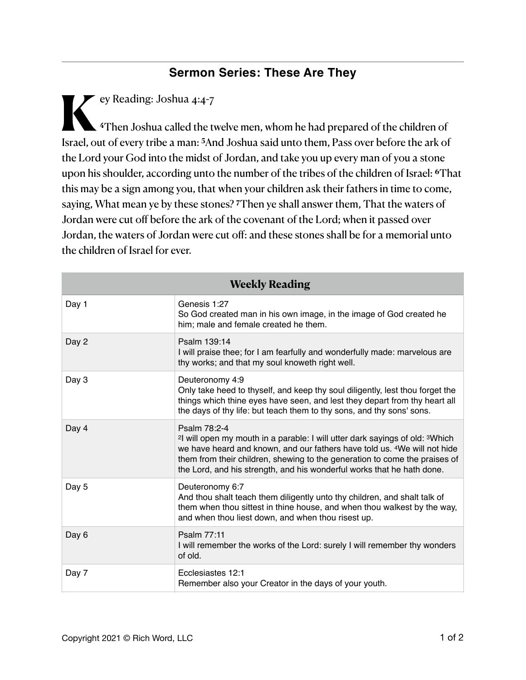## **Sermon Series: These Are They**

**K**ey Reading: Joshua 4:4-7 **<sup>4</sup>**Then Joshua called the twelve men, whom he had prepared of the children of Israel, out of every tribe a man: **5**And Joshua said unto them, Pass over before the ark of the Lord your God into the midst of Jordan, and take you up every man of you a stone upon his shoulder, according unto the number of the tribes of the children of Israel: **6**That this may be a sign among you, that when your children ask their fathers in time to come, saying, What mean ye by these stones? **7**Then ye shall answer them, That the waters of Jordan were cut off before the ark of the covenant of the Lord; when it passed over Jordan, the waters of Jordan were cut off: and these stones shall be for a memorial unto the children of Israel for ever.

| <b>Weekly Reading</b> |                                                                                                                                                                                                                                                                                                                                                                      |  |
|-----------------------|----------------------------------------------------------------------------------------------------------------------------------------------------------------------------------------------------------------------------------------------------------------------------------------------------------------------------------------------------------------------|--|
| Day 1                 | Genesis 1:27<br>So God created man in his own image, in the image of God created he<br>him; male and female created he them.                                                                                                                                                                                                                                         |  |
| Day 2                 | Psalm 139:14<br>I will praise thee; for I am fearfully and wonderfully made: marvelous are<br>thy works; and that my soul knoweth right well.                                                                                                                                                                                                                        |  |
| Day 3                 | Deuteronomy 4:9<br>Only take heed to thyself, and keep thy soul diligently, lest thou forget the<br>things which thine eyes have seen, and lest they depart from thy heart all<br>the days of thy life: but teach them to thy sons, and thy sons' sons.                                                                                                              |  |
| Day 4                 | Psalm 78:2-4<br><sup>2</sup> l will open my mouth in a parable: I will utter dark sayings of old: <sup>3</sup> Which<br>we have heard and known, and our fathers have told us. <sup>4</sup> We will not hide<br>them from their children, shewing to the generation to come the praises of<br>the Lord, and his strength, and his wonderful works that he hath done. |  |
| Day 5                 | Deuteronomy 6:7<br>And thou shalt teach them diligently unto thy children, and shalt talk of<br>them when thou sittest in thine house, and when thou walkest by the way,<br>and when thou liest down, and when thou risest up.                                                                                                                                       |  |
| Day 6                 | Psalm 77:11<br>I will remember the works of the Lord: surely I will remember thy wonders<br>of old.                                                                                                                                                                                                                                                                  |  |
| Day 7                 | Ecclesiastes 12:1<br>Remember also your Creator in the days of your youth.                                                                                                                                                                                                                                                                                           |  |